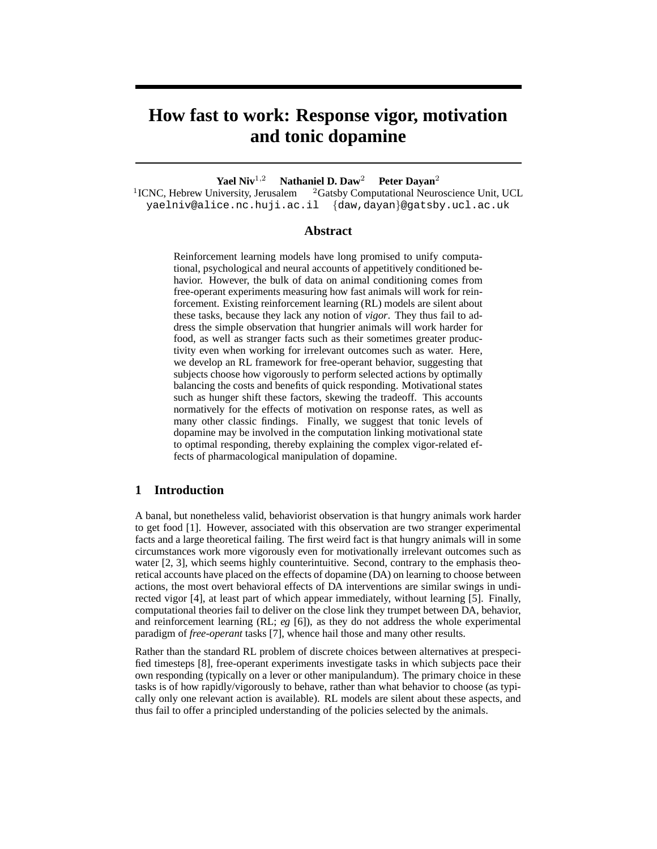# **How fast to work: Response vigor, motivation and tonic dopamine**

**Yael Niv**<sup>1</sup>,<sup>2</sup> **Nathaniel D. Daw**<sup>2</sup> **Peter Dayan**<sup>2</sup>

<sup>1</sup>ICNC, Hebrew University, Jerusalem  $12G$ atsby Computational Neuroscience Unit, UCL yaelniv@alice.nc.huji.ac.il {daw,dayan}@gatsby.ucl.ac.uk

### **Abstract**

Reinforcement learning models have long promised to unify computational, psychological and neural accounts of appetitively conditioned behavior. However, the bulk of data on animal conditioning comes from free-operant experiments measuring how fast animals will work for reinforcement. Existing reinforcement learning (RL) models are silent about these tasks, because they lack any notion of *vigor*. They thus fail to address the simple observation that hungrier animals will work harder for food, as well as stranger facts such as their sometimes greater productivity even when working for irrelevant outcomes such as water. Here, we develop an RL framework for free-operant behavior, suggesting that subjects choose how vigorously to perform selected actions by optimally balancing the costs and benefits of quick responding. Motivational states such as hunger shift these factors, skewing the tradeoff. This accounts normatively for the effects of motivation on response rates, as well as many other classic findings. Finally, we suggest that tonic levels of dopamine may be involved in the computation linking motivational state to optimal responding, thereby explaining the complex vigor-related effects of pharmacological manipulation of dopamine.

# **1 Introduction**

A banal, but nonetheless valid, behaviorist observation is that hungry animals work harder to get food [1]. However, associated with this observation are two stranger experimental facts and a large theoretical failing. The first weird fact is that hungry animals will in some circumstances work more vigorously even for motivationally irrelevant outcomes such as water [2, 3], which seems highly counterintuitive. Second, contrary to the emphasis theoretical accounts have placed on the effects of dopamine (DA) on learning to choose between actions, the most overt behavioral effects of DA interventions are similar swings in undirected vigor [4], at least part of which appear immediately, without learning [5]. Finally, computational theories fail to deliver on the close link they trumpet between DA, behavior, and reinforcement learning (RL; *eg* [6]), as they do not address the whole experimental paradigm of *free-operant* tasks [7], whence hail those and many other results.

Rather than the standard RL problem of discrete choices between alternatives at prespecified timesteps [8], free-operant experiments investigate tasks in which subjects pace their own responding (typically on a lever or other manipulandum). The primary choice in these tasks is of how rapidly/vigorously to behave, rather than what behavior to choose (as typically only one relevant action is available). RL models are silent about these aspects, and thus fail to offer a principled understanding of the policies selected by the animals.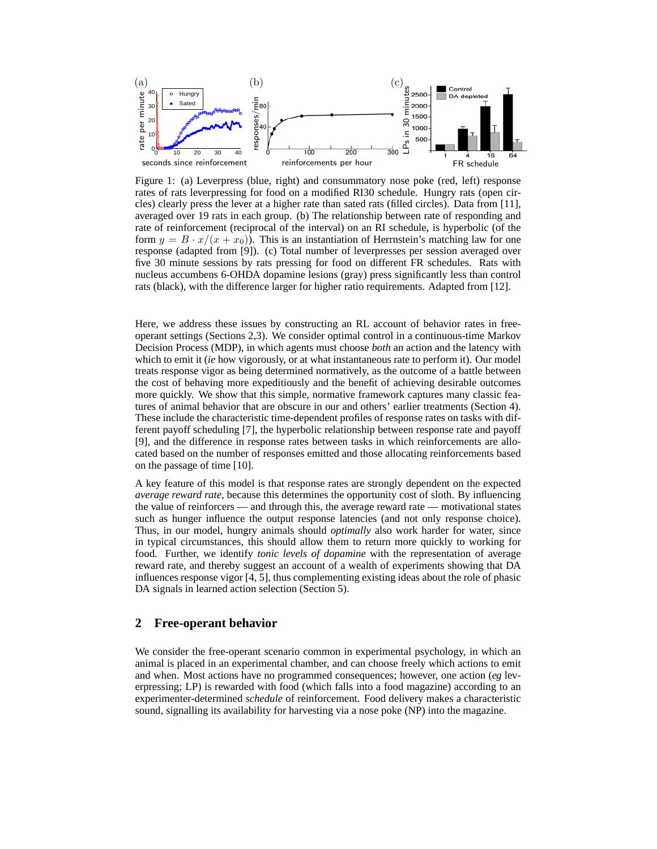

Figure 1: (a) Leverpress (blue, right) and consummatory nose poke (red, left) response rates of rats leverpressing for food on a modified RI30 schedule. Hungry rats (open circles) clearly press the lever at a higher rate than sated rats (filled circles). Data from [11], averaged over 19 rats in each group. (b) The relationship between rate of responding and rate of reinforcement (reciprocal of the interval) on an RI schedule, is hyperbolic (of the form  $y = B \cdot x/(x + x_0)$ . This is an instantiation of Herrnstein's matching law for one response (adapted from [9]). (c) Total number of leverpresses per session averaged over five 30 minute sessions by rats pressing for food on different FR schedules. Rats with nucleus accumbens 6-OHDA dopamine lesions (gray) press significantly less than control rats (black), with the difference larger for higher ratio requirements. Adapted from [12].

Here, we address these issues by constructing an RL account of behavior rates in freeoperant settings (Sections 2,3). We consider optimal control in a continuous-time Markov Decision Process (MDP), in which agents must choose *both* an action and the latency with which to emit it (*ie* how vigorously, or at what instantaneous rate to perform it). Our model treats response vigor as being determined normatively, as the outcome of a battle between the cost of behaving more expeditiously and the benefit of achieving desirable outcomes more quickly. We show that this simple, normative framework captures many classic features of animal behavior that are obscure in our and others' earlier treatments (Section 4). These include the characteristic time-dependent profiles of response rates on tasks with different payoff scheduling [7], the hyperbolic relationship between response rate and payoff [9], and the difference in response rates between tasks in which reinforcements are allocated based on the number of responses emitted and those allocating reinforcements based on the passage of time [10].

A key feature of this model is that response rates are strongly dependent on the expected *average reward rate*, because this determines the opportunity cost of sloth. By influencing the value of reinforcers — and through this, the average reward rate — motivational states such as hunger influence the output response latencies (and not only response choice). Thus, in our model, hungry animals should *optimally* also work harder for water, since in typical circumstances, this should allow them to return more quickly to working for food. Further, we identify *tonic levels of dopamine* with the representation of average reward rate, and thereby suggest an account of a wealth of experiments showing that DA influences response vigor [4, 5], thus complementing existing ideas about the role of phasic DA signals in learned action selection (Section 5).

## **2 Free-operant behavior**

We consider the free-operant scenario common in experimental psychology, in which an animal is placed in an experimental chamber, and can choose freely which actions to emit and when. Most actions have no programmed consequences; however, one action (*eg* leverpressing; LP) is rewarded with food (which falls into a food magazine) according to an experimenter-determined *schedule* of reinforcement. Food delivery makes a characteristic sound, signalling its availability for harvesting via a nose poke (NP) into the magazine.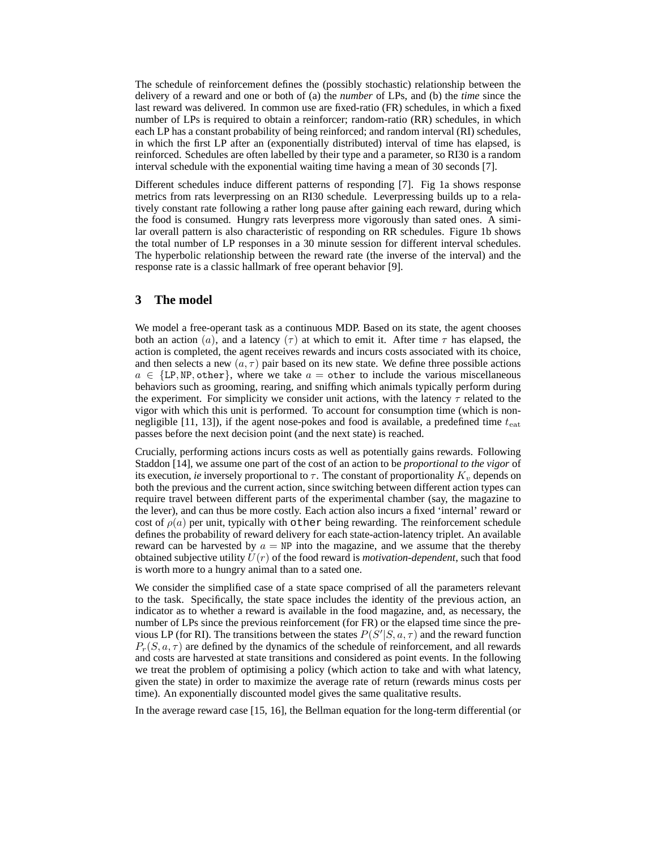The schedule of reinforcement defines the (possibly stochastic) relationship between the delivery of a reward and one or both of (a) the *number* of LPs, and (b) the *time* since the last reward was delivered. In common use are fixed-ratio (FR) schedules, in which a fixed number of LPs is required to obtain a reinforcer; random-ratio (RR) schedules, in which each LP has a constant probability of being reinforced; and random interval (RI) schedules, in which the first LP after an (exponentially distributed) interval of time has elapsed, is reinforced. Schedules are often labelled by their type and a parameter, so RI30 is a random interval schedule with the exponential waiting time having a mean of 30 seconds [7].

Different schedules induce different patterns of responding [7]. Fig 1a shows response metrics from rats leverpressing on an RI30 schedule. Leverpressing builds up to a relatively constant rate following a rather long pause after gaining each reward, during which the food is consumed. Hungry rats leverpress more vigorously than sated ones. A similar overall pattern is also characteristic of responding on RR schedules. Figure 1b shows the total number of LP responses in a 30 minute session for different interval schedules. The hyperbolic relationship between the reward rate (the inverse of the interval) and the response rate is a classic hallmark of free operant behavior [9].

# **3 The model**

We model a free-operant task as a continuous MDP. Based on its state, the agent chooses both an action (a), and a latency (τ) at which to emit it. After time  $\tau$  has elapsed, the action is completed, the agent receives rewards and incurs costs associated with its choice, and then selects a new  $(a, \tau)$  pair based on its new state. We define three possible actions  $a \in \{LP, NP, other\}$ , where we take  $a =$  other to include the various miscellaneous behaviors such as grooming, rearing, and sniffing which animals typically perform during the experiment. For simplicity we consider unit actions, with the latency  $\tau$  related to the vigor with which this unit is performed. To account for consumption time (which is nonnegligible [11, 13]), if the agent nose-pokes and food is available, a predefined time  $t_{\text{eat}}$ passes before the next decision point (and the next state) is reached.

Crucially, performing actions incurs costs as well as potentially gains rewards. Following Staddon [14], we assume one part of the cost of an action to be *proportional to the vigor* of its execution, *ie* inversely proportional to  $\tau$ . The constant of proportionality  $K_v$  depends on both the previous and the current action, since switching between different action types can require travel between different parts of the experimental chamber (say, the magazine to the lever), and can thus be more costly. Each action also incurs a fixed 'internal' reward or cost of  $\rho(a)$  per unit, typically with other being rewarding. The reinforcement schedule defines the probability of reward delivery for each state-action-latency triplet. An available reward can be harvested by  $a = NP$  into the magazine, and we assume that the thereby obtained subjective utility U(r) of the food reward is *motivation-dependent*, such that food is worth more to a hungry animal than to a sated one.

We consider the simplified case of a state space comprised of all the parameters relevant to the task. Specifically, the state space includes the identity of the previous action, an indicator as to whether a reward is available in the food magazine, and, as necessary, the number of LPs since the previous reinforcement (for FR) or the elapsed time since the previous LP (for RI). The transitions between the states  $P(S'|S, a, \tau)$  and the reward function  $P_r(S, a, \tau)$  are defined by the dynamics of the schedule of reinforcement, and all rewards and costs are harvested at state transitions and considered as point events. In the following we treat the problem of optimising a policy (which action to take and with what latency, given the state) in order to maximize the average rate of return (rewards minus costs per time). An exponentially discounted model gives the same qualitative results.

In the average reward case [15, 16], the Bellman equation for the long-term differential (or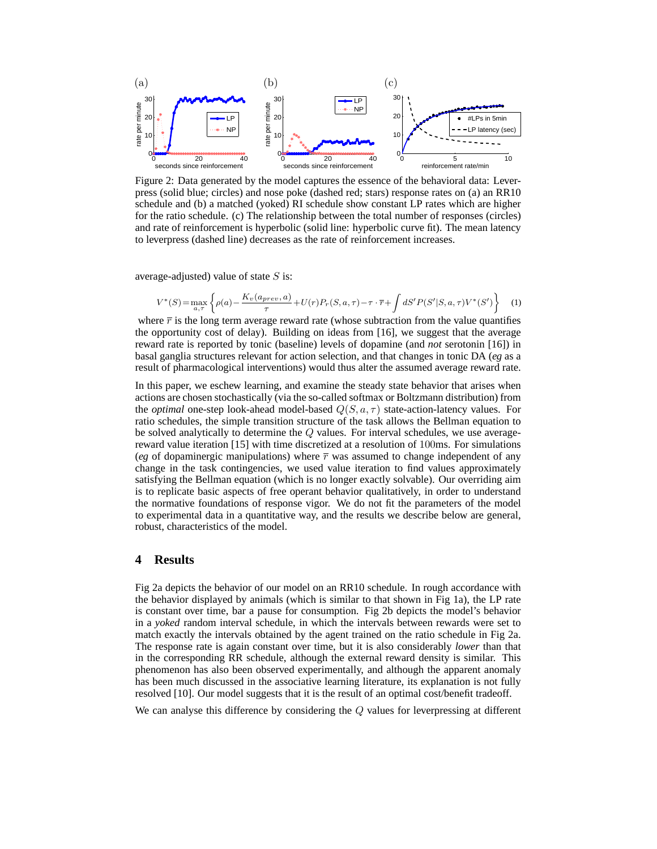

Figure 2: Data generated by the model captures the essence of the behavioral data: Leverpress (solid blue; circles) and nose poke (dashed red; stars) response rates on (a) an RR10 schedule and (b) a matched (yoked) RI schedule show constant LP rates which are higher for the ratio schedule. (c) The relationship between the total number of responses (circles) and rate of reinforcement is hyperbolic (solid line: hyperbolic curve fit). The mean latency to leverpress (dashed line) decreases as the rate of reinforcement increases.

average-adjusted) value of state  $S$  is:

$$
V^*(S) = \max_{a,\tau} \left\{ \rho(a) - \frac{K_v(a_{prev}, a)}{\tau} + U(r)P_r(S, a, \tau) - \tau \cdot \overline{r} + \int dS' P(S'|S, a, \tau) V^*(S') \right\} \tag{1}
$$

where  $\bar{r}$  is the long term average reward rate (whose subtraction from the value quantifies the opportunity cost of delay). Building on ideas from [16], we suggest that the average reward rate is reported by tonic (baseline) levels of dopamine (and *not* serotonin [16]) in basal ganglia structures relevant for action selection, and that changes in tonic DA (*eg* as a result of pharmacological interventions) would thus alter the assumed average reward rate.

In this paper, we eschew learning, and examine the steady state behavior that arises when actions are chosen stochastically (via the so-called softmax or Boltzmann distribution) from the *optimal* one-step look-ahead model-based  $Q(S, a, \tau)$  state-action-latency values. For ratio schedules, the simple transition structure of the task allows the Bellman equation to be solved analytically to determine the Q values. For interval schedules, we use averagereward value iteration [15] with time discretized at a resolution of 100ms. For simulations (*eg* of dopaminergic manipulations) where  $\bar{r}$  was assumed to change independent of any change in the task contingencies, we used value iteration to find values approximately satisfying the Bellman equation (which is no longer exactly solvable). Our overriding aim is to replicate basic aspects of free operant behavior qualitatively, in order to understand the normative foundations of response vigor. We do not fit the parameters of the model to experimental data in a quantitative way, and the results we describe below are general, robust, characteristics of the model.

#### **4 Results**

Fig 2a depicts the behavior of our model on an RR10 schedule. In rough accordance with the behavior displayed by animals (which is similar to that shown in Fig 1a), the LP rate is constant over time, bar a pause for consumption. Fig 2b depicts the model's behavior in a *yoked* random interval schedule, in which the intervals between rewards were set to match exactly the intervals obtained by the agent trained on the ratio schedule in Fig 2a. The response rate is again constant over time, but it is also considerably *lower* than that in the corresponding RR schedule, although the external reward density is similar. This phenomenon has also been observed experimentally, and although the apparent anomaly has been much discussed in the associative learning literature, its explanation is not fully resolved [10]. Our model suggests that it is the result of an optimal cost/benefit tradeoff.

We can analyse this difference by considering the  $Q$  values for leverpressing at different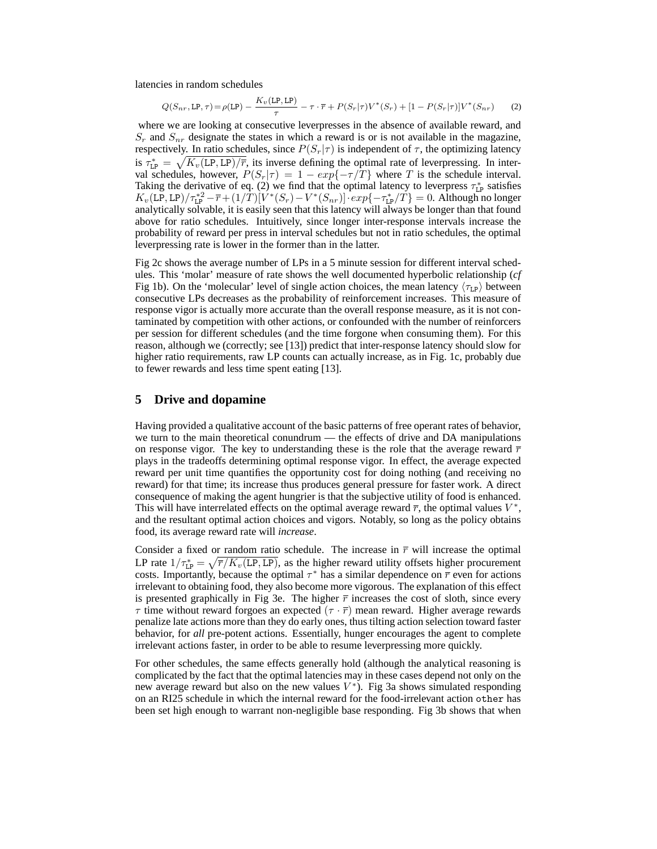latencies in random schedules

$$
Q(S_{nr}, \mathsf{LP}, \tau) = \rho(\mathsf{LP}) - \frac{K_v(\mathsf{LP}, \mathsf{LP})}{\tau} - \tau \cdot \overline{r} + P(S_r|\tau)V^*(S_r) + [1 - P(S_r|\tau)]V^*(S_{nr}) \tag{2}
$$

where we are looking at consecutive leverpresses in the absence of available reward, and  $S_r$  and  $S_{nr}$  designate the states in which a reward is or is not available in the magazine, respectively. In ratio schedules, since  $P(S_r|\tau)$  is independent of  $\tau$ , the optimizing latency is  $\tau_{LP}^* = \sqrt{K_v(\text{LP}, \text{LP})/\overline{r}}$ , its inverse defining the optimal rate of leverpressing. In interval schedules, however,  $P(S_r|\tau) = 1 - exp{-\tau/T}$  where T is the schedule interval. Taking the derivative of eq. (2) we find that the optimal latency to leverpress  $\tau_{LP}^*$  satisfies  $K_v(\text{LP}, \text{LP})/\tau_{\text{LP}}^{*2} - \overline{r} + (1/T)[V^*(S_r) - V^*(S_{nr})] \cdot exp\{-\tau_{\text{LP}}^*/T\} = 0.$  Although no longer analytically solvable, it is easily seen that this latency will always be longer than that found above for ratio schedules. Intuitively, since longer inter-response intervals increase the probability of reward per press in interval schedules but not in ratio schedules, the optimal leverpressing rate is lower in the former than in the latter.

Fig 2c shows the average number of LPs in a 5 minute session for different interval schedules. This 'molar' measure of rate shows the well documented hyperbolic relationship (*cf* Fig 1b). On the 'molecular' level of single action choices, the mean latency  $\langle \tau_{LP} \rangle$  between consecutive LPs decreases as the probability of reinforcement increases. This measure of response vigor is actually more accurate than the overall response measure, as it is not contaminated by competition with other actions, or confounded with the number of reinforcers per session for different schedules (and the time forgone when consuming them). For this reason, although we (correctly; see [13]) predict that inter-response latency should slow for higher ratio requirements, raw LP counts can actually increase, as in Fig. 1c, probably due to fewer rewards and less time spent eating [13].

#### **5 Drive and dopamine**

Having provided a qualitative account of the basic patterns of free operant rates of behavior, we turn to the main theoretical conundrum — the effects of drive and DA manipulations on response vigor. The key to understanding these is the role that the average reward  $\overline{r}$ plays in the tradeoffs determining optimal response vigor. In effect, the average expected reward per unit time quantifies the opportunity cost for doing nothing (and receiving no reward) for that time; its increase thus produces general pressure for faster work. A direct consequence of making the agent hungrier is that the subjective utility of food is enhanced. This will have interrelated effects on the optimal average reward  $\overline{r}$ , the optimal values  $V^*$ , and the resultant optimal action choices and vigors. Notably, so long as the policy obtains food, its average reward rate will *increase*.

Consider a fixed or random ratio schedule. The increase in  $\bar{r}$  will increase the optimal LP rate  $1/\tau_{LP}^* = \sqrt{\overline{r}/K_v(\text{LP}, \text{LP})}$ , as the higher reward utility offsets higher procurement costs. Importantly, because the optimal  $\tau^*$  has a similar dependence on  $\frac{a}{r}$  even for actions irrelevant to obtaining food, they also become more vigorous. The explanation of this effect is presented graphically in Fig 3e. The higher  $\overline{r}$  increases the cost of sloth, since every  $\tau$  time without reward forgoes an expected  $(\tau \cdot \overline{r})$  mean reward. Higher average rewards penalize late actions more than they do early ones, thus tilting action selection toward faster behavior, for *all* pre-potent actions. Essentially, hunger encourages the agent to complete irrelevant actions faster, in order to be able to resume leverpressing more quickly.

For other schedules, the same effects generally hold (although the analytical reasoning is complicated by the fact that the optimal latencies may in these cases depend not only on the new average reward but also on the new values  $V^*$ ). Fig 3a shows simulated responding on an RI25 schedule in which the internal reward for the food-irrelevant action other has been set high enough to warrant non-negligible base responding. Fig 3b shows that when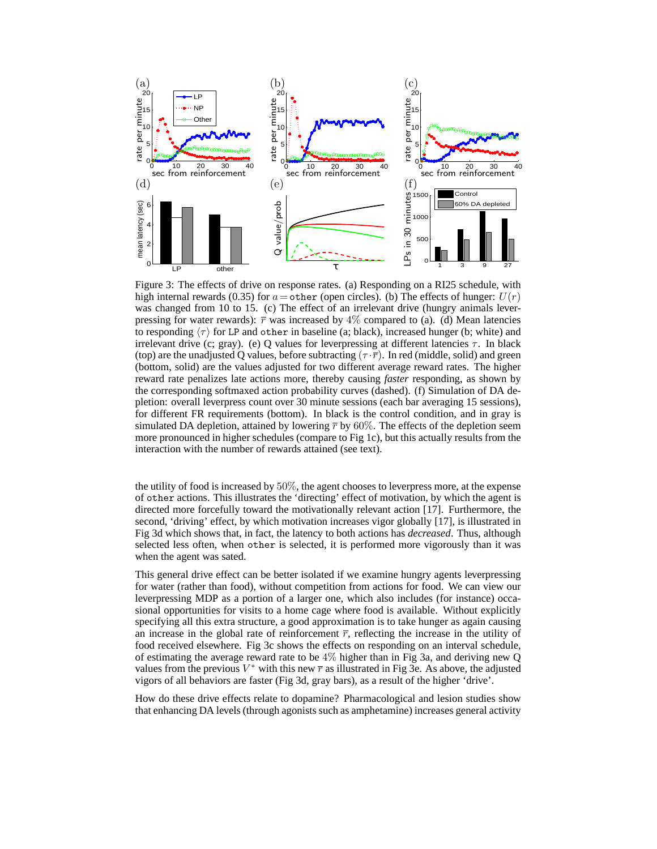

Figure 3: The effects of drive on response rates. (a) Responding on a RI25 schedule, with high internal rewards (0.35) for  $a = \text{other}$  (open circles). (b) The effects of hunger:  $U(r)$ was changed from 10 to 15. (c) The effect of an irrelevant drive (hungry animals leverpressing for water rewards):  $\bar{r}$  was increased by 4% compared to (a). (d) Mean latencies to responding  $\langle \tau \rangle$  for LP and other in baseline (a; black), increased hunger (b; white) and irrelevant drive (c; gray). (e) Q values for leverpressing at different latencies  $\tau$ . In black (top) are the unadjusted Q values, before subtracting  $(\tau \cdot \overline{r})$ . In red (middle, solid) and green (bottom, solid) are the values adjusted for two different average reward rates. The higher reward rate penalizes late actions more, thereby causing *faster* responding, as shown by the corresponding softmaxed action probability curves (dashed). (f) Simulation of DA depletion: overall leverpress count over 30 minute sessions (each bar averaging 15 sessions), for different FR requirements (bottom). In black is the control condition, and in gray is simulated DA depletion, attained by lowering  $\bar{r}$  by 60%. The effects of the depletion seem more pronounced in higher schedules (compare to Fig 1c), but this actually results from the interaction with the number of rewards attained (see text).

the utility of food is increased by 50%, the agent chooses to leverpress more, at the expense of other actions. This illustrates the 'directing' effect of motivation, by which the agent is directed more forcefully toward the motivationally relevant action [17]. Furthermore, the second, 'driving' effect, by which motivation increases vigor globally [17], is illustrated in Fig 3d which shows that, in fact, the latency to both actions has *decreased*. Thus, although selected less often, when other is selected, it is performed more vigorously than it was when the agent was sated.

This general drive effect can be better isolated if we examine hungry agents leverpressing for water (rather than food), without competition from actions for food. We can view our leverpressing MDP as a portion of a larger one, which also includes (for instance) occasional opportunities for visits to a home cage where food is available. Without explicitly specifying all this extra structure, a good approximation is to take hunger as again causing an increase in the global rate of reinforcement  $\overline{r}$ , reflecting the increase in the utility of food received elsewhere. Fig 3c shows the effects on responding on an interval schedule, of estimating the average reward rate to be  $4\%$  higher than in Fig 3a, and deriving new Q values from the previous  $V^*$  with this new  $\overline{r}$  as illustrated in Fig 3e. As above, the adjusted vigors of all behaviors are faster (Fig 3d, gray bars), as a result of the higher 'drive'.

How do these drive effects relate to dopamine? Pharmacological and lesion studies show that enhancing DA levels (through agonists such as amphetamine) increases general activity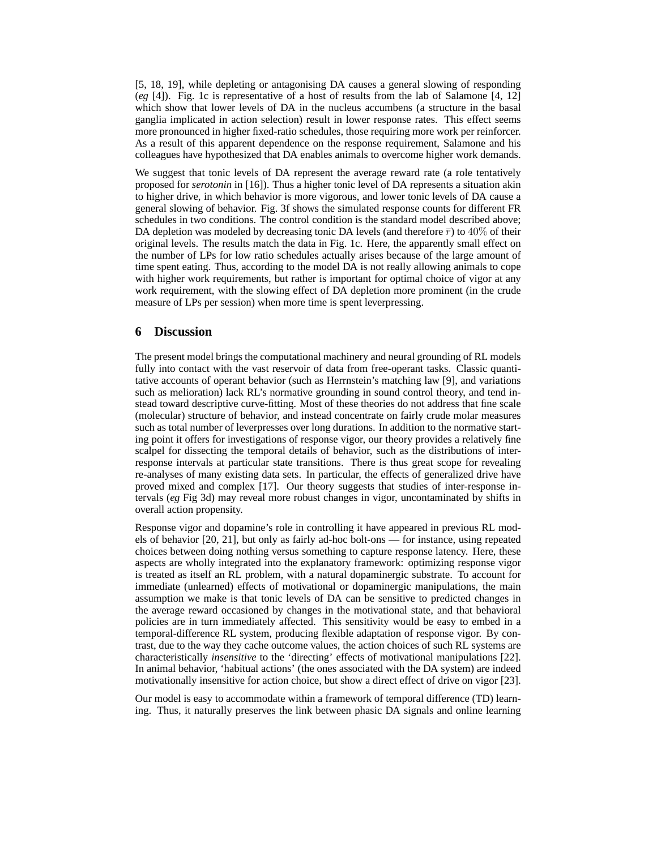[5, 18, 19], while depleting or antagonising DA causes a general slowing of responding (*eg* [4]). Fig. 1c is representative of a host of results from the lab of Salamone [4, 12] which show that lower levels of DA in the nucleus accumbens (a structure in the basal ganglia implicated in action selection) result in lower response rates. This effect seems more pronounced in higher fixed-ratio schedules, those requiring more work per reinforcer. As a result of this apparent dependence on the response requirement, Salamone and his colleagues have hypothesized that DA enables animals to overcome higher work demands.

We suggest that tonic levels of DA represent the average reward rate (a role tentatively proposed for *serotonin* in [16]). Thus a higher tonic level of DA represents a situation akin to higher drive, in which behavior is more vigorous, and lower tonic levels of DA cause a general slowing of behavior. Fig. 3f shows the simulated response counts for different FR schedules in two conditions. The control condition is the standard model described above; DA depletion was modeled by decreasing tonic DA levels (and therefore  $\overline{r}$ ) to 40% of their original levels. The results match the data in Fig. 1c. Here, the apparently small effect on the number of LPs for low ratio schedules actually arises because of the large amount of time spent eating. Thus, according to the model DA is not really allowing animals to cope with higher work requirements, but rather is important for optimal choice of vigor at any work requirement, with the slowing effect of DA depletion more prominent (in the crude measure of LPs per session) when more time is spent leverpressing.

## **6 Discussion**

The present model brings the computational machinery and neural grounding of RL models fully into contact with the vast reservoir of data from free-operant tasks. Classic quantitative accounts of operant behavior (such as Herrnstein's matching law [9], and variations such as melioration) lack RL's normative grounding in sound control theory, and tend instead toward descriptive curve-fitting. Most of these theories do not address that fine scale (molecular) structure of behavior, and instead concentrate on fairly crude molar measures such as total number of leverpresses over long durations. In addition to the normative starting point it offers for investigations of response vigor, our theory provides a relatively fine scalpel for dissecting the temporal details of behavior, such as the distributions of interresponse intervals at particular state transitions. There is thus great scope for revealing re-analyses of many existing data sets. In particular, the effects of generalized drive have proved mixed and complex [17]. Our theory suggests that studies of inter-response intervals (*eg* Fig 3d) may reveal more robust changes in vigor, uncontaminated by shifts in overall action propensity.

Response vigor and dopamine's role in controlling it have appeared in previous RL models of behavior [20, 21], but only as fairly ad-hoc bolt-ons — for instance, using repeated choices between doing nothing versus something to capture response latency. Here, these aspects are wholly integrated into the explanatory framework: optimizing response vigor is treated as itself an RL problem, with a natural dopaminergic substrate. To account for immediate (unlearned) effects of motivational or dopaminergic manipulations, the main assumption we make is that tonic levels of DA can be sensitive to predicted changes in the average reward occasioned by changes in the motivational state, and that behavioral policies are in turn immediately affected. This sensitivity would be easy to embed in a temporal-difference RL system, producing flexible adaptation of response vigor. By contrast, due to the way they cache outcome values, the action choices of such RL systems are characteristically *insensitive* to the 'directing' effects of motivational manipulations [22]. In animal behavior, 'habitual actions' (the ones associated with the DA system) are indeed motivationally insensitive for action choice, but show a direct effect of drive on vigor [23].

Our model is easy to accommodate within a framework of temporal difference (TD) learning. Thus, it naturally preserves the link between phasic DA signals and online learning